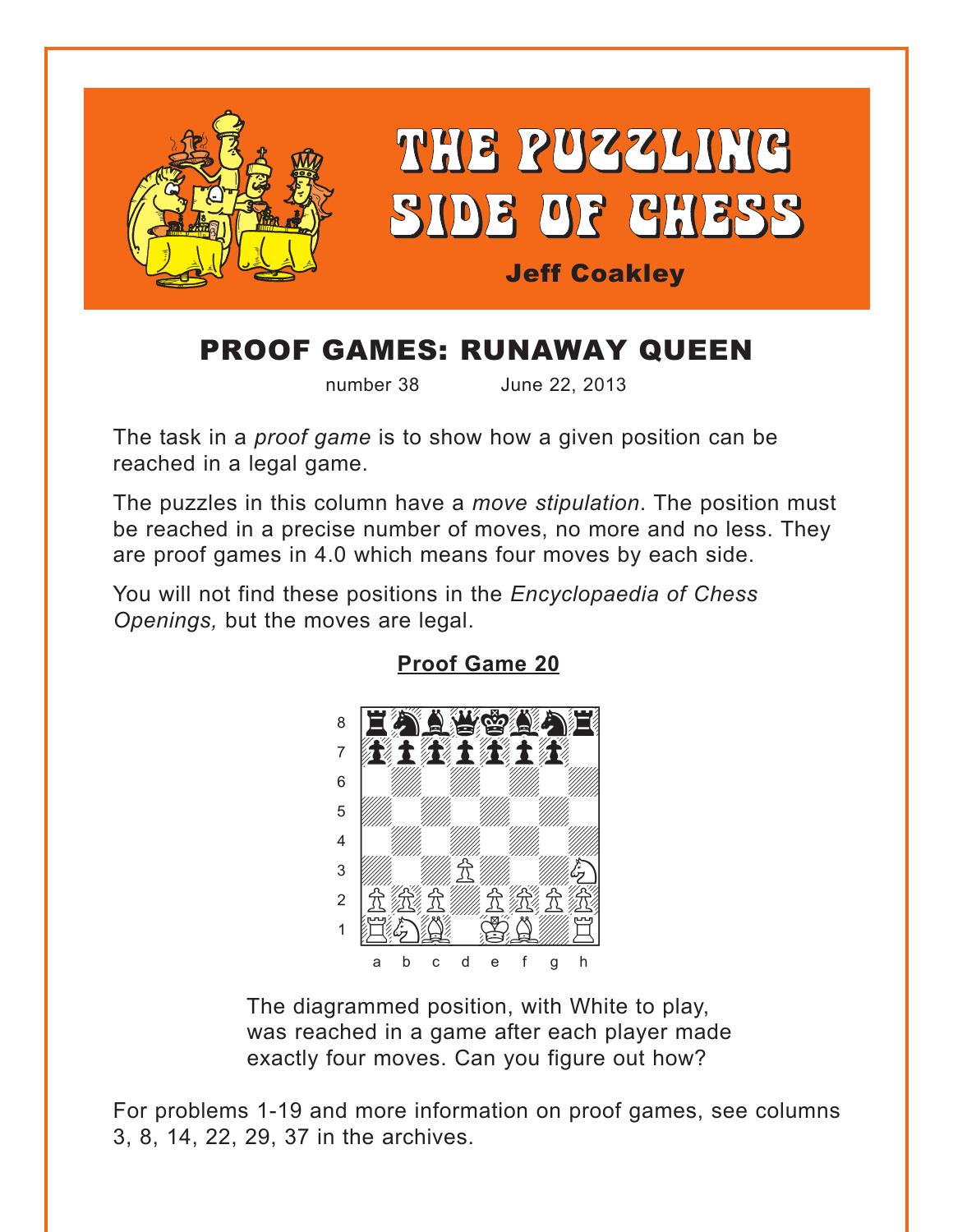<span id="page-0-0"></span>

# **PROOF GAMES: RUNAWAY QUEEN**

number 38

June 22, 2013

The task in a *proof game* is to show how a given position can be reached in a legal game.

The puzzles in this column have a move stipulation. The position must be reached in a precise number of moves, no more and no less. They are proof games in 4.0 which means four moves by each side.

You will not find these positions in the Encyclopaedia of Chess Openings, but the moves are legal.



**Proof Game 20** 

The diagrammed position, with White to play, was reached in a game after each player made exactly four moves. Can you figure out how?

For problems 1-19 and more information on proof games, see columns 3, 8, 14, 22, 29, 37 in the archives.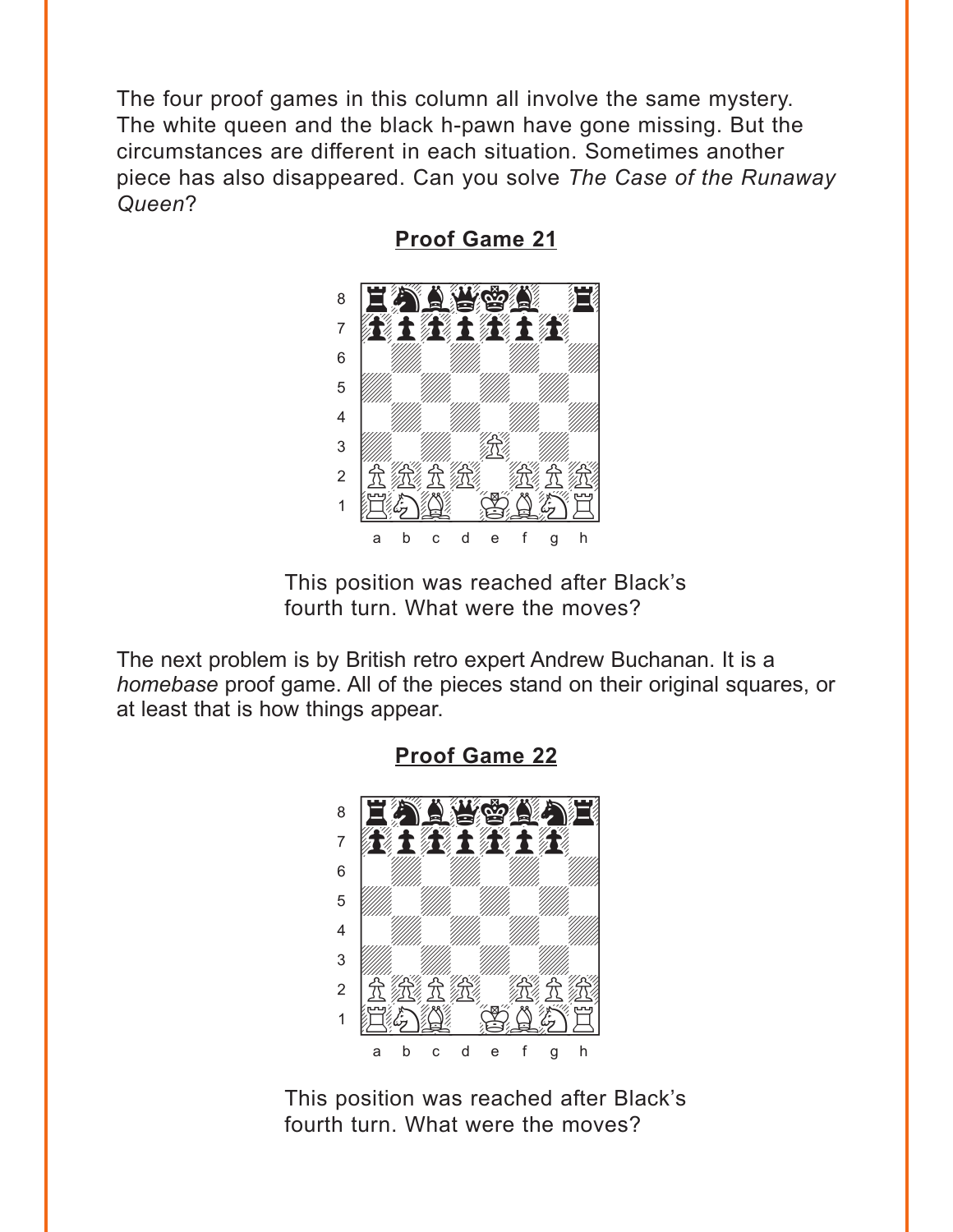<span id="page-1-0"></span>The four proof games in this column all involve the same mystery. The white queen and the black h-pawn have gone missing. But the circumstances are different in each situation. Sometimes another piece has also disappeared. Can you solve The Case of the Runaway Queen?



**Proof Game 21** 

This position was reached after Black's fourth turn. What were the moves?

The next problem is by British retro expert Andrew Buchanan. It is a homebase proof game. All of the pieces stand on their original squares, or at least that is how things appear.



**Proof Game 22** 

This position was reached after Black's fourth turn. What were the moves?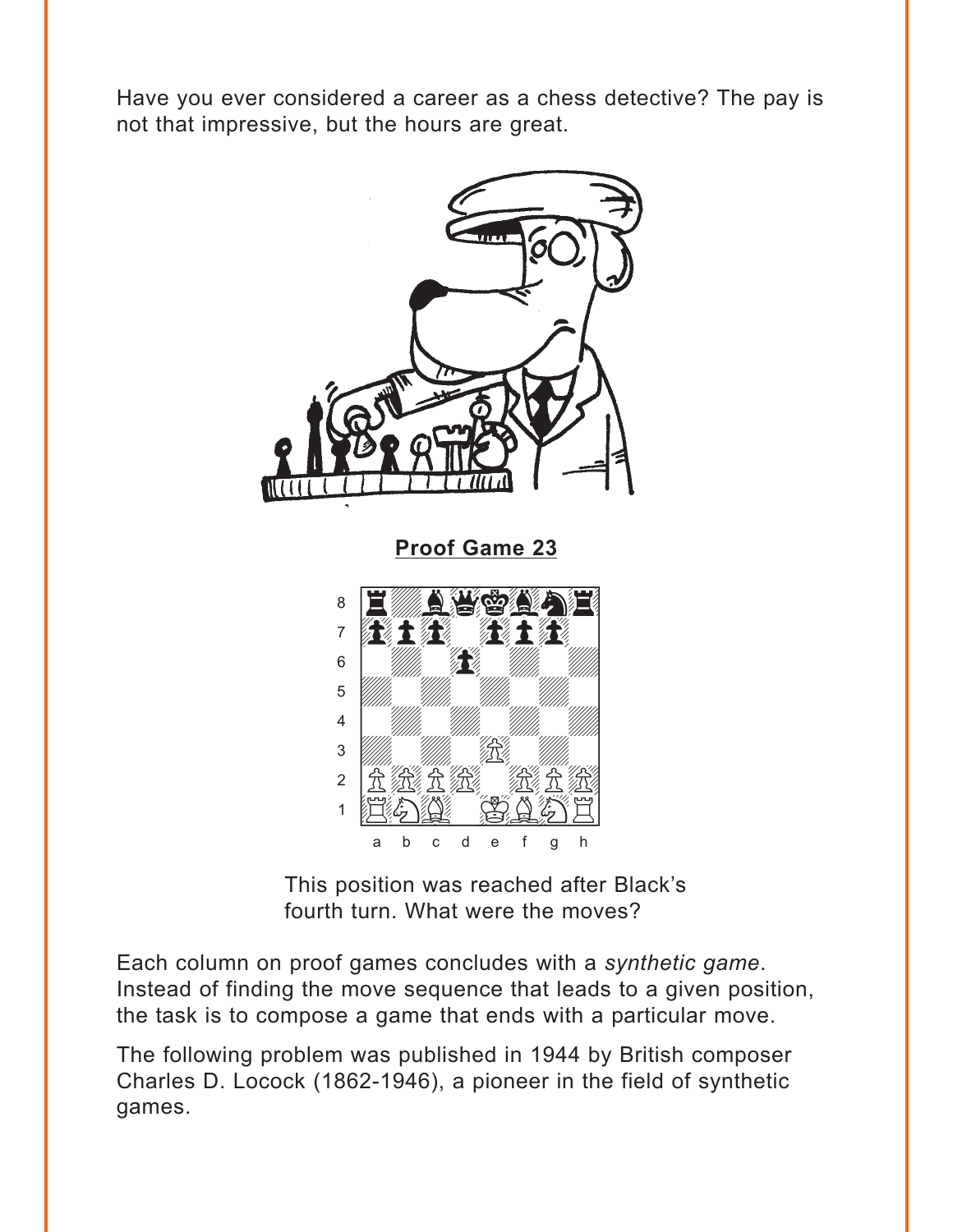<span id="page-2-0"></span>Have you ever considered a career as a chess detective? The pay is not that impressive, but the hours are great.



This position was reached after Black's fourth turn. What were the moves?

Each column on proof games concludes with a synthetic game. Instead of finding the move sequence that leads to a given position, the task is to compose a game that ends with a particular move.

The following problem was published in 1944 by British composer Charles D. Locock (1862-1946), a pioneer in the field of synthetic games.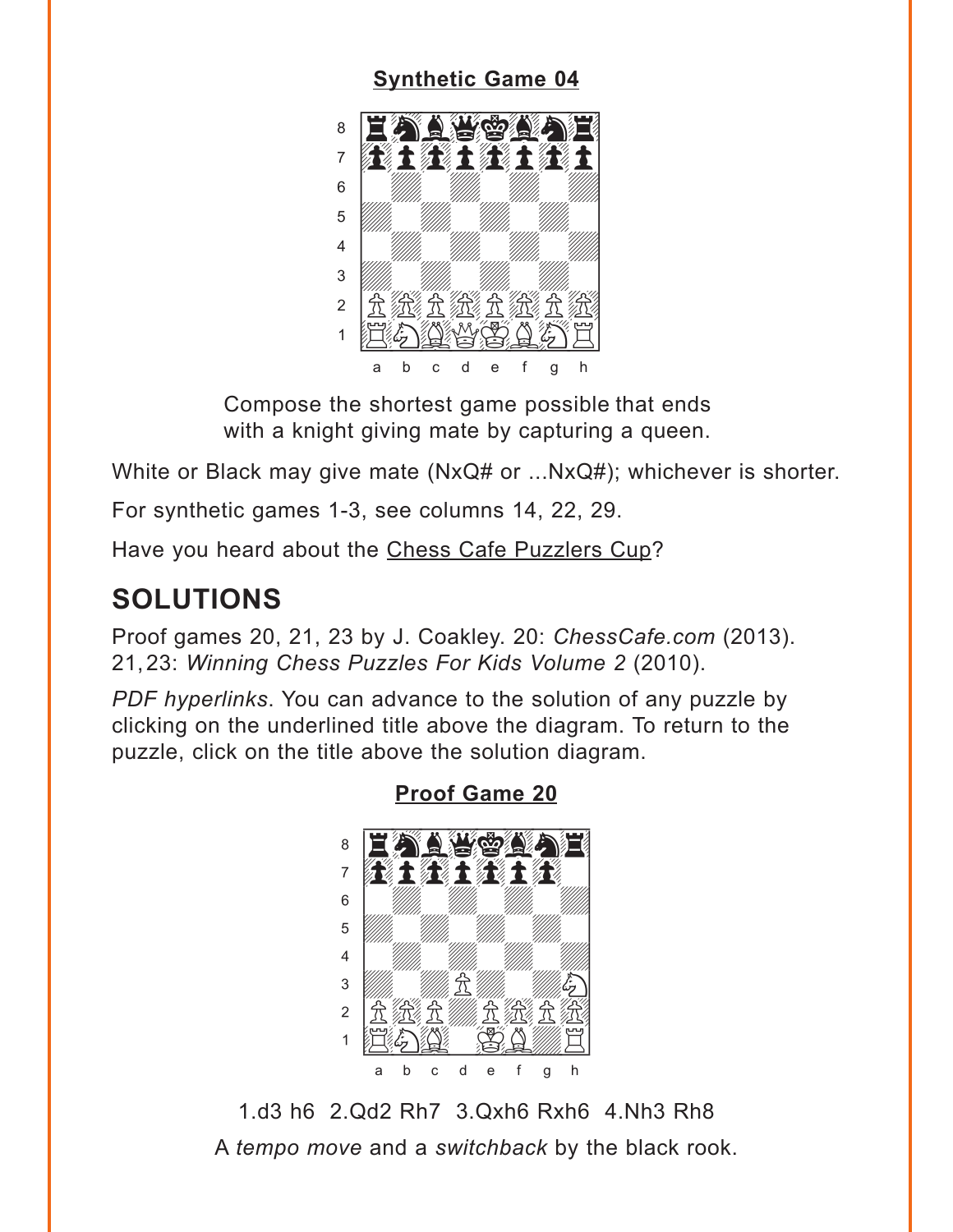#### **[Synthetic Game 04](#page-5-0)**

<span id="page-3-0"></span>

Compose the shortest game possible that ends with a knight giving mate by capturing a queen.

White or Black may give mate (NxQ# or ...NxQ#); whichever is shorter.

For synthetic games 1-3, see columns 14, 22, 29.

Have you heard about the Chess Cafe Puzzlers Cup?

## **SOLUTIONS**

Proof games 20, 21, 23 by J. Coakley. 20: *ChessCafe.com* (2013). 21,23: *Winning Chess Puzzles For Kids Volume 2* (2010).

*PDF hyperlinks*. You can advance to the solution of any puzzle by clicking on the underlined title above the diagram. To return to the puzzle, click on the title above the solution diagram.



**[Proof Game 20](#page-0-0)**

1.d3 h6 2.Qd2 Rh7 3.Qxh6 Rxh6 4.Nh3 Rh8 A *tempo move* and a *switchback* by the black rook.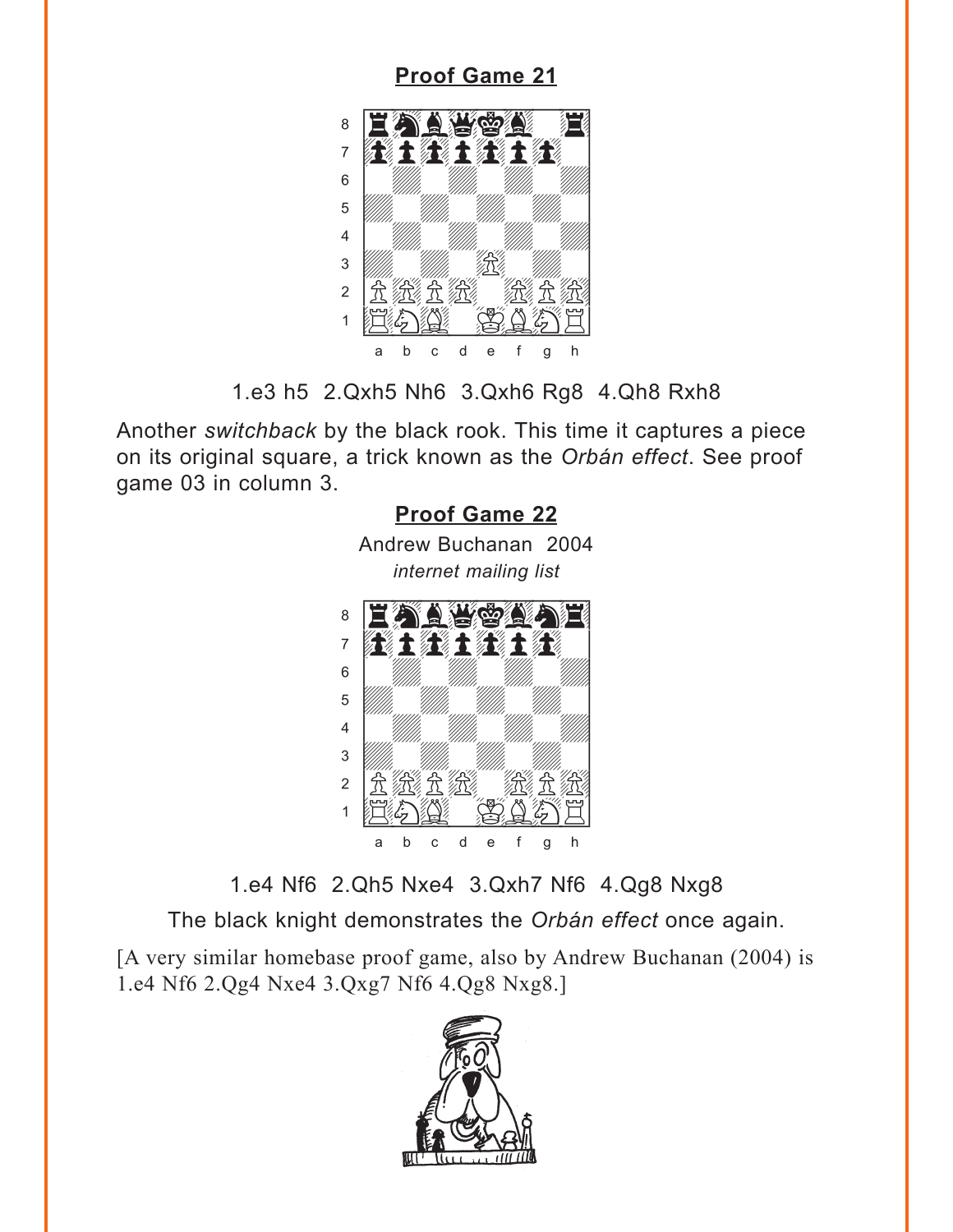<span id="page-4-0"></span>

1.e3 h5 2.Qxh5 Nh6 3.Qxh6 Rg8 4.Qh8 Rxh8

Another *switchback* by the black rook. This time it captures a piece on its original square, a trick known as the *Orbán effect*. See proof game 03 in column 3.



1.e4 Nf6 2.Qh5 Nxe4 3.Qxh7 Nf6 4.Qg8 Nxg8

The black knight demonstrates the *Orbán effect* once again.

[A very similar homebase proof game, also by Andrew Buchanan (2004) is 1.e4 Nf6 2.Qg4 Nxe4 3.Qxg7 Nf6 4.Qg8 Nxg8.]

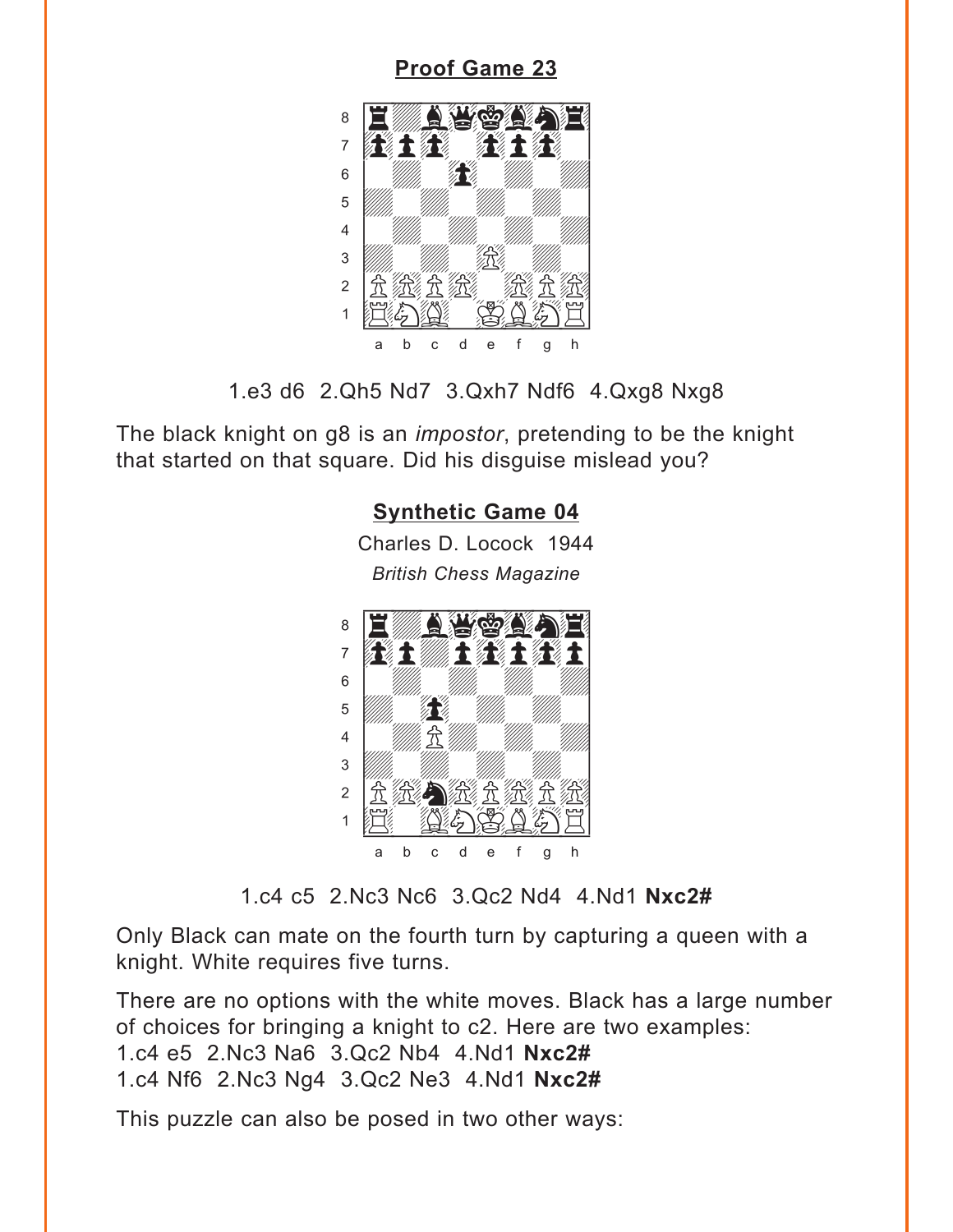#### <span id="page-5-0"></span>**Proof Game 23** 8 فكالحائث "不是,我不是  $\overline{7}$ 须该气物论  $6\,$ Z Z 5  $\overline{4}$ /R/  $\sqrt{3}$ 經立 <u> 全然大发</u>  $\overline{2}$  $\mathbb{Z}$  $\mathbf{1}$ 江海州  $\bigcup_i \mathcal{C}_i$  $\mathsf b$  $\mathbf C$ d  $\mathbf e$ f h a  $\mathbf{q}$

1.e3 d6 2.Qh5 Nd7 3.Qxh7 Ndf6 4.Qxg8 Nxg8

The black knight on g8 is an *impostor*, pretending to be the knight that started on that square. Did his disguise mislead you?

### **Synthetic Game 04**

Charles D. Locock 1944 **British Chess Magazine** 



1.c4 c5 2.Nc3 Nc6 3.Qc2 Nd4 4.Nd1 Nxc2#

Only Black can mate on the fourth turn by capturing a queen with a knight. White requires five turns.

There are no options with the white moves. Black has a large number of choices for bringing a knight to c2. Here are two examples: 1.c4 e5 2.Nc3 Na6 3.Qc2 Nb4 4.Nd1 Nxc2# 1.c4 Nf6 2.Nc3 Ng4 3.Qc2 Ne3 4.Nd1 Nxc2#

This puzzle can also be posed in two other ways: